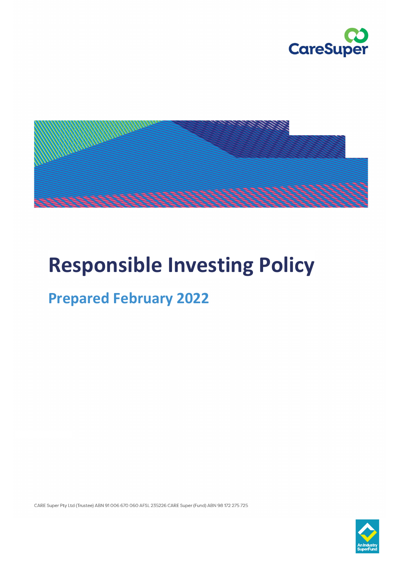



# **Responsible Investing Policy**

## **Prepared February 2022**

CARE Super Pty Ltd (Trustee) ABN 91 006 670 060 AFSL 235226 CARE Super (Fund) ABN 98 172 275 725

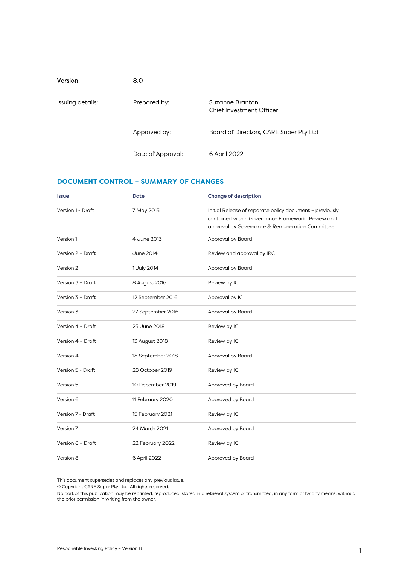| Version:         | 8.0               |                                             |
|------------------|-------------------|---------------------------------------------|
| Issuing details: | Prepared by:      | Suzanne Branton<br>Chief Investment Officer |
|                  | Approved by:      | Board of Directors, CARE Super Pty Ltd      |
|                  | Date of Approval: | 6 April 2022                                |

#### <span id="page-1-0"></span>**DOCUMENT CONTROL – SUMMARY OF CHANGES**

| <b>Issue</b>      | Date              | <b>Change of description</b>                                                                                                                                      |
|-------------------|-------------------|-------------------------------------------------------------------------------------------------------------------------------------------------------------------|
| Version 1 - Draft | 7 May 2013        | Initial Release of separate policy document - previously<br>contained within Governance Framework. Review and<br>approval by Governance & Remuneration Committee. |
| Version 1         | 4 June 2013       | Approval by Board                                                                                                                                                 |
| Version 2 - Draft | June 2014         | Review and approval by IRC                                                                                                                                        |
| Version 2         | 1 July 2014       | Approval by Board                                                                                                                                                 |
| Version 3 - Draft | 8 August 2016     | Review by IC                                                                                                                                                      |
| Version 3 - Draft | 12 September 2016 | Approval by IC                                                                                                                                                    |
| Version 3         | 27 September 2016 | Approval by Board                                                                                                                                                 |
| Version 4 - Draft | 25 June 2018      | Review by IC                                                                                                                                                      |
| Version 4 - Draft | 13 August 2018    | Review by IC                                                                                                                                                      |
| Version 4         | 18 September 2018 | Approval by Board                                                                                                                                                 |
| Version 5 - Draft | 28 October 2019   | Review by IC                                                                                                                                                      |
| Version 5         | 10 December 2019  | Approved by Board                                                                                                                                                 |
| Version 6         | 11 February 2020  | Approved by Board                                                                                                                                                 |
| Version 7 - Draft | 15 February 2021  | Review by IC                                                                                                                                                      |
| Version 7         | 24 March 2021     | Approved by Board                                                                                                                                                 |
| Version 8 - Draft | 22 February 2022  | Review by IC                                                                                                                                                      |
| Version 8         | 6 April 2022      | Approved by Board                                                                                                                                                 |

This document supersedes and replaces any previous issue.

© Copyright CARE Super Pty Ltd. All rights reserved.

No part of this publication may be reprinted, reproduced, stored in a retrieval system or transmitted, in any form or by any means, without the prior permission in writing from the owner.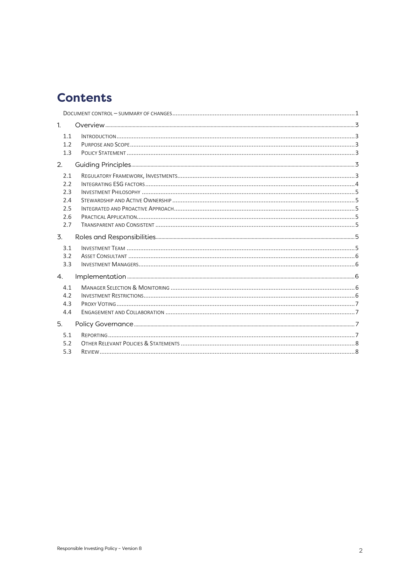### **Contents**

| 1.                                            |  |
|-----------------------------------------------|--|
| 1.1<br>1.2<br>1.3                             |  |
| 2.                                            |  |
| 2.1<br>2.2<br>2.3<br>2.4<br>2.5<br>2.6<br>2.7 |  |
| $\overline{3}$ .                              |  |
| 3.1<br>3.2<br>3.3                             |  |
| 4.                                            |  |
| 4.1<br>4.2<br>4.3<br>4.4                      |  |
| 5.                                            |  |
| 5.1<br>5.2<br>5.3                             |  |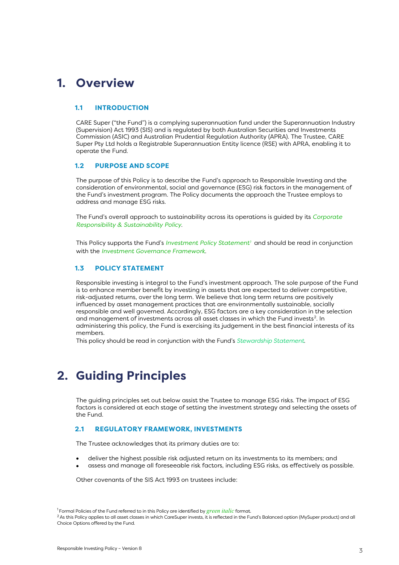### <span id="page-3-0"></span>**1. Overview**

#### <span id="page-3-1"></span>**1.1 INTRODUCTION**

CARE Super ("the Fund") is a complying superannuation fund under the Superannuation Industry (Supervision) Act 1993 (SIS) and is regulated by both Australian Securities and Investments Commission (ASIC) and Australian Prudential Regulation Authority (APRA). The Trustee, CARE Super Pty Ltd holds a Registrable Superannuation Entity licence (RSE) with APRA, enabling it to operate the Fund.

#### <span id="page-3-2"></span>**1.2 PURPOSE AND SCOPE**

The purpose of this Policy is to describe the Fund's approach to Responsible Investing and the consideration of environmental, social and governance (ESG) risk factors in the management of the Fund's investment program. The Policy documents the approach the Trustee employs to address and manage ESG risks.

The Fund's overall approach to sustainability across its operations is guided by its *Corporate Responsibility & Sustainability Policy*.

This Policy supports the Fund's *Investment Policy Statemen[t1](#page-3-6)* and should be read in conjunction with the *Investment Governance Framework*.

#### <span id="page-3-3"></span>**1.3 POLICY STATEMENT**

Responsible investing is integral to the Fund's investment approach. The sole purpose of the Fund is to enhance member benefit by investing in assets that are expected to deliver competitive, risk-adjusted returns, over the long term. We believe that long term returns are positively influenced by asset management practices that are environmentally sustainable, socially responsible and well governed. Accordingly, ESG factors are a key consideration in the selection and management of investments across all asset classes in which the Fund invests<sup>2</sup>. In administering this policy, the Fund is exercising its judgement in the best financial interests of its members.

This policy should be read in conjunction with the Fund's *Stewardship Statement*.

### <span id="page-3-4"></span>**2. Guiding Principles**

The guiding principles set out below assist the Trustee to manage ESG risks. The impact of ESG factors is considered at each stage of setting the investment strategy and selecting the assets of the Fund.

#### <span id="page-3-5"></span>**2.1 REGULATORY FRAMEWORK, INVESTMENTS**

The Trustee acknowledges that its primary duties are to:

- deliver the highest possible risk adjusted return on its investments to its members; and
- assess and manage all foreseeable risk factors, including ESG risks, as effectively as possible.

Other covenants of the SIS Act 1993 on trustees include:

<sup>1</sup> Formal Policies of the Fund referred to in this Policy are identified by *green italic* format.

<span id="page-3-7"></span><span id="page-3-6"></span><sup>&</sup>lt;sup>2</sup> As this Policy applies to all asset classes in which CareSuper invests, it is reflected in the Fund's Balanced option (MySuper product) and all Choice Options offered by the Fund.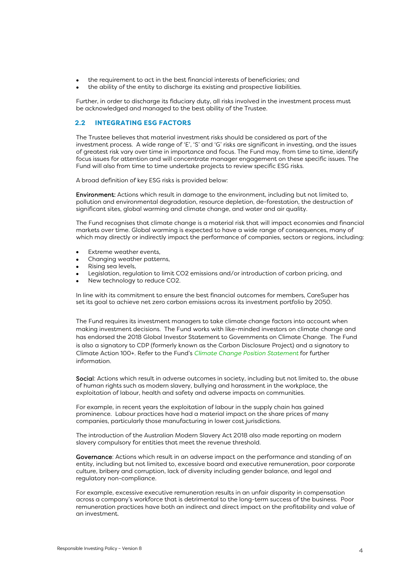- the requirement to act in the best financial interests of beneficiaries; and
- the ability of the entity to discharge its existing and prospective liabilities.

Further, in order to discharge its fiduciary duty, all risks involved in the investment process must be acknowledged and managed to the best ability of the Trustee.

#### <span id="page-4-0"></span>**2.2 INTEGRATING ESG FACTORS**

The Trustee believes that material investment risks should be considered as part of the investment process. A wide range of 'E', 'S' and 'G' risks are significant in investing, and the issues of greatest risk vary over time in importance and focus. The Fund may, from time to time, identify focus issues for attention and will concentrate manager engagement on these specific issues. The Fund will also from time to time undertake projects to review specific ESG risks.

A broad definition of key ESG risks is provided below:

Environment: Actions which result in damage to the environment, including but not limited to, pollution and environmental degradation, resource depletion, de-forestation, the destruction of significant sites, global warming and climate change, and water and air quality.

The Fund recognises that climate change is a material risk that will impact economies and financial markets over time. Global warming is expected to have a wide range of consequences, many of which may directly or indirectly impact the performance of companies, sectors or regions, including:

- Extreme weather events,
- Changing weather patterns,
- Rising sea levels,
- Legislation, regulation to limit CO2 emissions and/or introduction of carbon pricing, and
- New technology to reduce CO2.

In line with its commitment to ensure the best financial outcomes for members, CareSuper has set its goal to achieve net zero carbon emissions across its investment portfolio by 2050.

The Fund requires its investment managers to take climate change factors into account when making investment decisions. The Fund works with like-minded investors on climate change and has endorsed the 2018 Global Investor Statement to Governments on Climate Change. The Fund is also a signatory to CDP (formerly known as the Carbon Disclosure Project) and a signatory to Climate Action 100+. Refer to the Fund's *Climate Change Position Statement* for further information.

Social: Actions which result in adverse outcomes in society, including but not limited to, the abuse of human rights such as modern slavery, bullying and harassment in the workplace, the exploitation of labour, health and safety and adverse impacts on communities.

For example, in recent years the exploitation of labour in the supply chain has gained prominence. Labour practices have had a material impact on the share prices of many companies, particularly those manufacturing in lower cost jurisdictions.

The introduction of the Australian Modern Slavery Act 2018 also made reporting on modern slavery compulsory for entities that meet the revenue threshold.

Governance: Actions which result in an adverse impact on the performance and standing of an entity, including but not limited to, excessive board and executive remuneration, poor corporate culture, bribery and corruption, lack of diversity including gender balance, and legal and regulatory non-compliance.

For example, excessive executive remuneration results in an unfair disparity in compensation across a company's workforce that is detrimental to the long-term success of the business. Poor remuneration practices have both an indirect and direct impact on the profitability and value of an investment.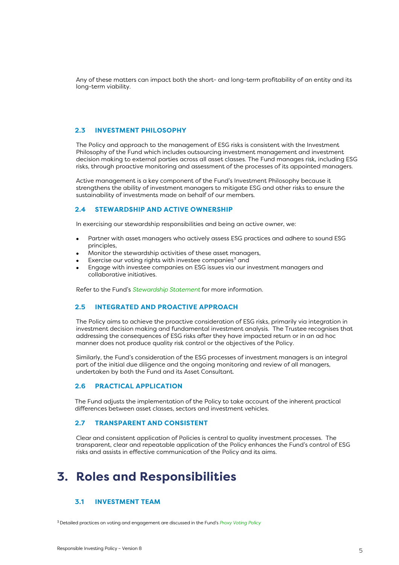Any of these matters can impact both the short- and long-term profitability of an entity and its long-term viability.

#### <span id="page-5-0"></span>**2.3 INVESTMENT PHILOSOPHY**

The Policy and approach to the management of ESG risks is consistent with the Investment Philosophy of the Fund which includes outsourcing investment management and investment decision making to external parties across all asset classes. The Fund manages risk, including ESG risks, through proactive monitoring and assessment of the processes of its appointed managers.

Active management is a key component of the Fund's Investment Philosophy because it strengthens the ability of investment managers to mitigate ESG and other risks to ensure the sustainability of investments made on behalf of our members.

#### <span id="page-5-1"></span>**2.4 STEWARDSHIP AND ACTIVE OWNERSHIP**

In exercising our stewardship responsibilities and being an active owner, we:

- Partner with asset managers who actively assess ESG practices and adhere to sound ESG principles,
- Monitor the stewardship activities of these asset managers,
- Exercise our voting rights with investee companies<sup>[3](#page-5-7)</sup> and
- Engage with investee companies on ESG issues via our investment managers and collaborative initiatives.

Refer to the Fund's *Stewardship Statement* for more information.

#### <span id="page-5-2"></span>**2.5 INTEGRATED AND PROACTIVE APPROACH**

The Policy aims to achieve the proactive consideration of ESG risks, primarily via integration in investment decision making and fundamental investment analysis. The Trustee recognises that addressing the consequences of ESG risks after they have impacted return or in an ad hoc manner does not produce quality risk control or the objectives of the Policy.

Similarly, the Fund's consideration of the ESG processes of investment managers is an integral part of the initial due diligence and the ongoing monitoring and review of all managers, undertaken by both the Fund and its Asset Consultant.

#### <span id="page-5-3"></span>**2.6 PRACTICAL APPLICATION**

The Fund adjusts the implementation of the Policy to take account of the inherent practical differences between asset classes, sectors and investment vehicles.

#### <span id="page-5-4"></span>**2.7 TRANSPARENT AND CONSISTENT**

Clear and consistent application of Policies is central to quality investment processes. The transparent, clear and repeatable application of the Policy enhances the Fund's control of ESG risks and assists in effective communication of the Policy and its aims.

### <span id="page-5-5"></span>**3. Roles and Responsibilities**

#### <span id="page-5-6"></span>**3.1 INVESTMENT TEAM**

<span id="page-5-7"></span>3 Detailed practices on voting and engagement are discussed in the Fund's *Proxy Voting Policy*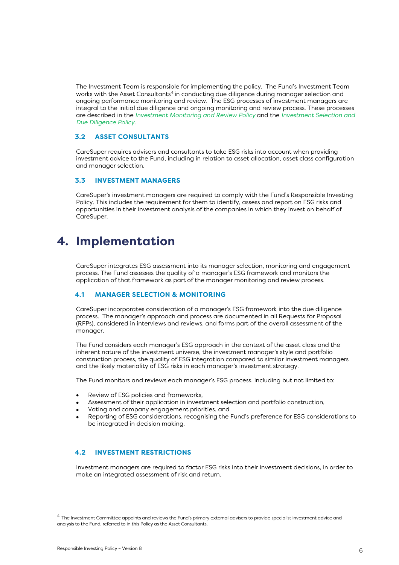The Investment Team is responsible for implementing the policy. The Fund's Investment Team works with the Asset Consultants<sup>4</sup> in conducting due diligence during manager selection and ongoing performance monitoring and review. The ESG processes of investment managers are integral to the initial due diligence and ongoing monitoring and review process. These processes are described in the *Investment Monitoring and Review Policy* and the *Investment Selection and Due Diligence Policy*.

#### <span id="page-6-0"></span>**3.2 ASSET CONSULTANTS**

CareSuper requires advisers and consultants to take ESG risks into account when providing investment advice to the Fund, including in relation to asset allocation, asset class configuration and manager selection.

#### <span id="page-6-1"></span>**3.3 INVESTMENT MANAGERS**

CareSuper's investment managers are required to comply with the Fund's Responsible Investing Policy. This includes the requirement for them to identify, assess and report on ESG risks and opportunities in their investment analysis of the companies in which they invest on behalf of CareSuper.

### <span id="page-6-2"></span>**4. Implementation**

CareSuper integrates ESG assessment into its manager selection, monitoring and engagement process. The Fund assesses the quality of a manager's ESG framework and monitors the application of that framework as part of the manager monitoring and review process.

#### <span id="page-6-3"></span>**4.1 MANAGER SELECTION & MONITORING**

CareSuper incorporates consideration of a manager's ESG framework into the due diligence process. The manager's approach and process are documented in all Requests for Proposal (RFPs), considered in interviews and reviews, and forms part of the overall assessment of the manager.

The Fund considers each manager's ESG approach in the context of the asset class and the inherent nature of the investment universe, the investment manager's style and portfolio construction process, the quality of ESG integration compared to similar investment managers and the likely materiality of ESG risks in each manager's investment strategy.

The Fund monitors and reviews each manager's ESG process, including but not limited to:

- Review of ESG policies and frameworks,
- Assessment of their application in investment selection and portfolio construction,
- Voting and company engagement priorities, and
- Reporting of ESG considerations, recognising the Fund's preference for ESG considerations to be integrated in decision making.

#### <span id="page-6-4"></span>**4.2 INVESTMENT RESTRICTIONS**

Investment managers are required to factor ESG risks into their investment decisions, in order to make an integrated assessment of risk and return.

<span id="page-6-5"></span><sup>4</sup> The Investment Committee appoints and reviews the Fund's primary external advisers to provide specialist investment advice and analysis to the Fund, referred to in this Policy as the Asset Consultants.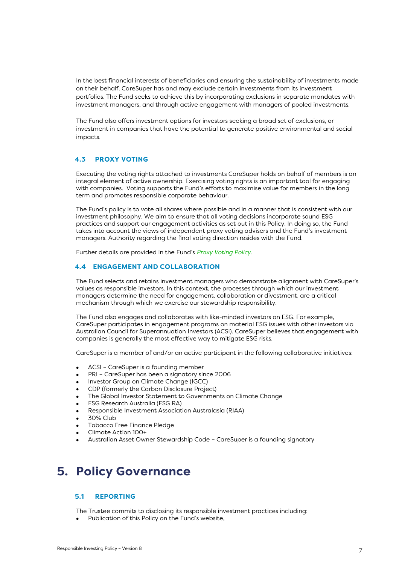In the best financial interests of beneficiaries and ensuring the sustainability of investments made on their behalf, CareSuper has and may exclude certain investments from its investment portfolios. The Fund seeks to achieve this by incorporating exclusions in separate mandates with investment managers, and through active engagement with managers of pooled investments.

The Fund also offers investment options for investors seeking a broad set of exclusions, or investment in companies that have the potential to generate positive environmental and social impacts.

#### <span id="page-7-0"></span>**4.3 PROXY VOTING**

<span id="page-7-1"></span>Executing the voting rights attached to investments CareSuper holds on behalf of members is an integral element of active ownership. Exercising voting rights is an important tool for engaging with companies. Voting supports the Fund's efforts to maximise value for members in the long term and promotes responsible corporate behaviour.

The Fund's policy is to vote all shares where possible and in a manner that is consistent with our investment philosophy. We aim to ensure that all voting decisions incorporate sound ESG practices and support our engagement activities as set out in this Policy. In doing so, the Fund takes into account the views of independent proxy voting advisers and the Fund's investment managers. Authority regarding the final voting direction resides with the Fund.

Further details are provided in the Fund's *Proxy Voting Policy.*

#### **4.4 ENGAGEMENT AND COLLABORATION**

The Fund selects and retains investment managers who demonstrate alignment with CareSuper's values as responsible investors. In this context, the processes through which our investment managers determine the need for engagement, collaboration or divestment, are a critical mechanism through which we exercise our stewardship responsibility.

The Fund also engages and collaborates with like-minded investors on ESG. For example, CareSuper participates in engagement programs on material ESG issues with other investors via Australian Council for Superannuation Investors (ACSI). CareSuper believes that engagement with companies is generally the most effective way to mitigate ESG risks.

CareSuper is a member of and/or an active participant in the following collaborative initiatives:

- ACSI CareSuper is a founding member
- PRI CareSuper has been a signatory since 2006
- Investor Group on Climate Change (IGCC)
- CDP (formerly the Carbon Disclosure Project)
- [The Global Investor Statement to Governments on Climate Change](https://www.iigcc.org/resource/global-investor-statement-to-governments-on-climate-change/)
- ESG Research Australia (ESG RA)
- Responsible Investment Association Australasia (RIAA)
- 30% Club
- Tobacco Free Finance Pledge
- Climate Action 100+
- Australian Asset Owner Stewardship Code CareSuper is a founding signatory

### <span id="page-7-2"></span>**5. Policy Governance**

#### <span id="page-7-3"></span>**5.1 REPORTING**

The Trustee commits to disclosing its responsible investment practices including:

• Publication of this Policy on the Fund's website,